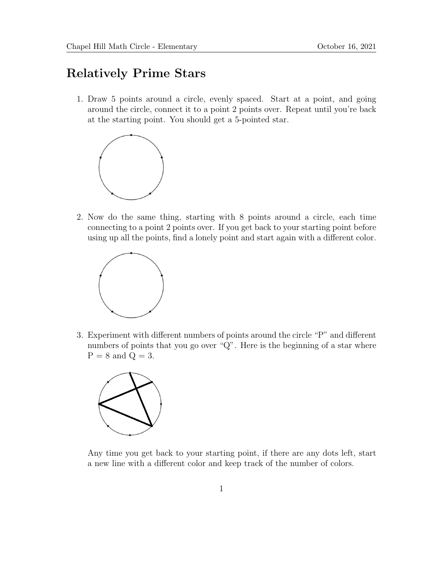## Relatively Prime Stars

1. Draw 5 points around a circle, evenly spaced. Start at a point, and going around the circle, connect it to a point 2 points over. Repeat until you're back at the starting point. You should get a 5-pointed star.



2. Now do the same thing, starting with 8 points around a circle, each time connecting to a point 2 points over. If you get back to your starting point before using up all the points, find a lonely point and start again with a different color.



3. Experiment with different numbers of points around the circle "P" and different numbers of points that you go over "Q". Here is the beginning of a star where  $P = 8$  and  $Q = 3$ .



Any time you get back to your starting point, if there are any dots left, start a new line with a different color and keep track of the number of colors.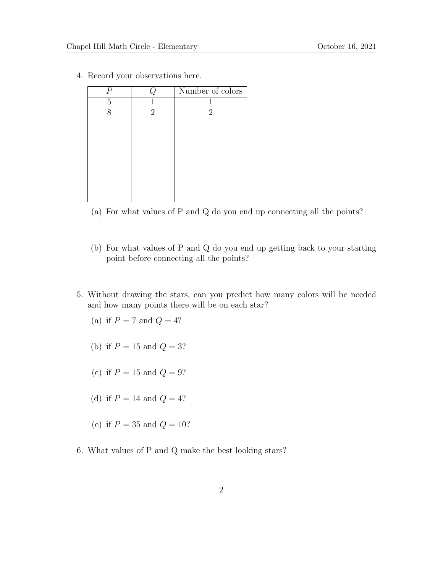| $\, P \,$ |                | Number of colors |
|-----------|----------------|------------------|
| 5         |                |                  |
| 8         | $\overline{2}$ | $\overline{2}$   |
|           |                |                  |
|           |                |                  |
|           |                |                  |
|           |                |                  |
|           |                |                  |
|           |                |                  |
|           |                |                  |
|           |                |                  |

4. Record your observations here.

- (a) For what values of P and Q do you end up connecting all the points?
- (b) For what values of P and Q do you end up getting back to your starting point before connecting all the points?
- 5. Without drawing the stars, can you predict how many colors will be needed and how many points there will be on each star?
	- (a) if  $P = 7$  and  $Q = 4$ ?
	- (b) if  $P = 15$  and  $Q = 3?$
	- (c) if  $P = 15$  and  $Q = 9$ ?
	- (d) if  $P = 14$  and  $Q = 4$ ?
	- (e) if  $P = 35$  and  $Q = 10$ ?
- 6. What values of P and Q make the best looking stars?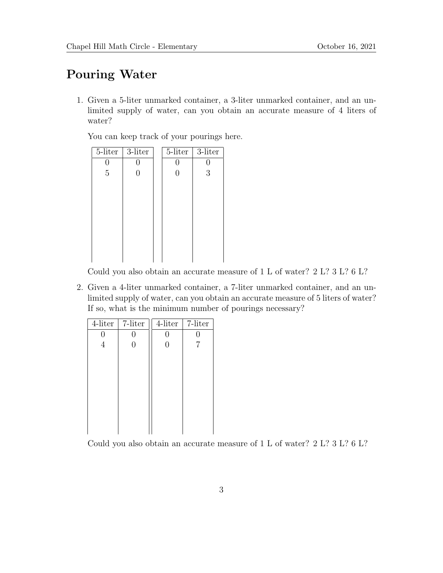## Pouring Water

1. Given a 5-liter unmarked container, a 3-liter unmarked container, and an unlimited supply of water, can you obtain an accurate measure of 4 liters of water?

You can keep track of your pourings here.

| $5$ -liter     | 3-liter          | 5-liter          | 3-liter |
|----------------|------------------|------------------|---------|
| 0              |                  | U                |         |
| $\overline{5}$ | $\left( \right)$ | $\left( \right)$ | 3       |
|                |                  |                  |         |
|                |                  |                  |         |
|                |                  |                  |         |
|                |                  |                  |         |
|                |                  |                  |         |
|                |                  |                  |         |
|                |                  |                  |         |
|                |                  |                  |         |

Could you also obtain an accurate measure of 1 L of water? 2 L? 3 L? 6 L?

2. Given a 4-liter unmarked container, a 7-liter unmarked container, and an unlimited supply of water, can you obtain an accurate measure of 5 liters of water? If so, what is the minimum number of pourings necessary?

| 7-liter | 4-liter | 7-liter |
|---------|---------|---------|
| U       | 0       | 0       |
| 0       | 0       | 7       |
|         |         |         |
|         |         |         |
|         |         |         |
|         |         |         |
|         |         |         |
|         |         |         |
|         |         |         |
|         |         |         |
|         |         |         |

Could you also obtain an accurate measure of 1 L of water? 2 L? 3 L? 6 L?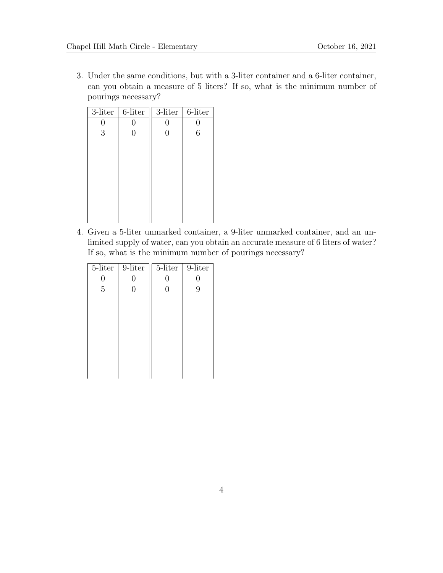3. Under the same conditions, but with a 3-liter container and a 6-liter container, can you obtain a measure of 5 liters? If so, what is the minimum number of pourings necessary?

| 3-liter | 6-liter        | 3-liter | 6-liter |
|---------|----------------|---------|---------|
| 0       | O              | ( )     | U       |
| 3       | $\overline{0}$ | 0       | 6       |
|         |                |         |         |
|         |                |         |         |
|         |                |         |         |
|         |                |         |         |
|         |                |         |         |
|         |                |         |         |
|         |                |         |         |
|         |                |         |         |

4. Given a 5-liter unmarked container, a 9-liter unmarked container, and an unlimited supply of water, can you obtain an accurate measure of 6 liters of water? If so, what is the minimum number of pourings necessary?

| 5-liter        | 9-liter | 5-liter        | 9-liter |
|----------------|---------|----------------|---------|
| U              |         | 0              | U       |
| $\overline{5}$ |         | $\overline{0}$ | 9       |
|                |         |                |         |
|                |         |                |         |
|                |         |                |         |
|                |         |                |         |
|                |         |                |         |
|                |         |                |         |
|                |         |                |         |
|                |         |                |         |